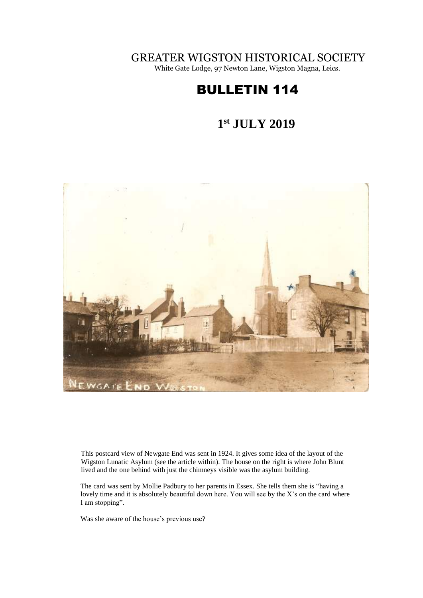GREATER WIGSTON HISTORICAL SOCIETY

White Gate Lodge, 97 Newton Lane, Wigston Magna, Leics.

# BULLETIN 114

#### **1 st JULY 2019**



This postcard view of Newgate End was sent in 1924. It gives some idea of the layout of the Wigston Lunatic Asylum (see the article within). The house on the right is where John Blunt lived and the one behind with just the chimneys visible was the asylum building.

The card was sent by Mollie Padbury to her parents in Essex. She tells them she is "having a lovely time and it is absolutely beautiful down here. You will see by the X's on the card where I am stopping".

Was she aware of the house's previous use?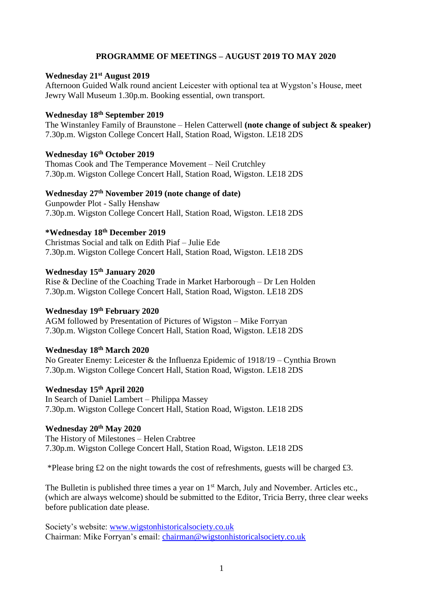### **PROGRAMME OF MEETINGS – AUGUST 2019 TO MAY 2020**

# **Wednesday 21st August 2019**

Afternoon Guided Walk round ancient Leicester with optional tea at Wygston's House, meet Jewry Wall Museum 1.30p.m. Booking essential, own transport.

#### **Wednesday 18th September 2019**

The Winstanley Family of Braunstone – Helen Catterwell **(note change of subject & speaker)** 7.30p.m. Wigston College Concert Hall, Station Road, Wigston. LE18 2DS

# **Wednesday 16th October 2019**

Thomas Cook and The Temperance Movement – Neil Crutchley 7.30p.m. Wigston College Concert Hall, Station Road, Wigston. LE18 2DS

#### **Wednesday 27 th November 2019 (note change of date)**

Gunpowder Plot - Sally Henshaw 7.30p.m. Wigston College Concert Hall, Station Road, Wigston. LE18 2DS

# **\*Wednesday 18th December 2019**

Christmas Social and talk on Edith Piaf – Julie Ede 7.30p.m. Wigston College Concert Hall, Station Road, Wigston. LE18 2DS

#### **Wednesday 15th January 2020**

Rise & Decline of the Coaching Trade in Market Harborough – Dr Len Holden 7.30p.m. Wigston College Concert Hall, Station Road, Wigston. LE18 2DS

# **Wednesday 19th February 2020**

AGM followed by Presentation of Pictures of Wigston – Mike Forryan 7.30p.m. Wigston College Concert Hall, Station Road, Wigston. LE18 2DS

### **Wednesday 18th March 2020**

No Greater Enemy: Leicester & the Influenza Epidemic of 1918/19 – Cynthia Brown 7.30p.m. Wigston College Concert Hall, Station Road, Wigston. LE18 2DS

#### **Wednesday 15th April 2020**

In Search of Daniel Lambert – Philippa Massey 7.30p.m. Wigston College Concert Hall, Station Road, Wigston. LE18 2DS

#### **Wednesday 20th May 2020**

The History of Milestones – Helen Crabtree 7.30p.m. Wigston College Concert Hall, Station Road, Wigston. LE18 2DS

\*Please bring £2 on the night towards the cost of refreshments, guests will be charged £3.

The Bulletin is published three times a year on 1<sup>st</sup> March, July and November. Articles etc., (which are always welcome) should be submitted to the Editor, Tricia Berry, three clear weeks before publication date please.

Society's website: [www.wigstonhistoricalsociety.co.uk](http://www.wigstonhistoricalsociety.co.uk/) Chairman: Mike Forryan's email: [chairman@wigstonhistoricalsociety.co.uk](mailto:chairman@wigstonhistoricalsociety.co.uk)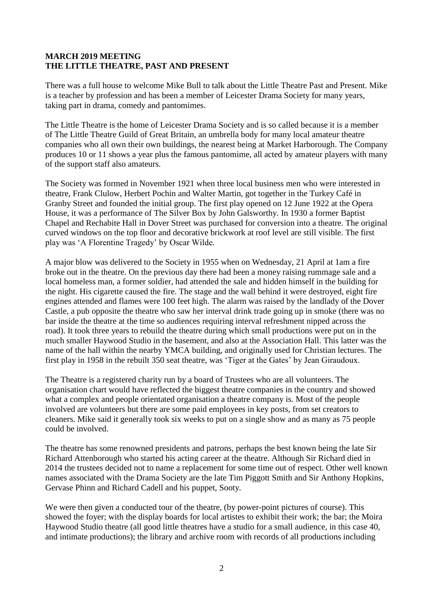#### **MARCH 2019 MEETING THE LITTLE THEATRE, PAST AND PRESENT**

There was a full house to welcome Mike Bull to talk about the Little Theatre Past and Present. Mike is a teacher by profession and has been a member of Leicester Drama Society for many years, taking part in drama, comedy and pantomimes.

The Little Theatre is the home of Leicester Drama Society and is so called because it is a member of The Little Theatre Guild of Great Britain, an umbrella body for many local amateur theatre companies who all own their own buildings, the nearest being at Market Harborough. The Company produces 10 or 11 shows a year plus the famous pantomime, all acted by amateur players with many of the support staff also amateurs.

The Society was formed in November 1921 when three local business men who were interested in theatre, Frank Clulow, Herbert Pochin and Walter Martin, got together in the Turkey Café in Granby Street and founded the initial group. The first play opened on 12 June 1922 at the Opera House, it was a performance of The Silver Box by John Galsworthy. In 1930 a former Baptist Chapel and Rechabite Hall in Dover Street was purchased for conversion into a theatre. The original curved windows on the top floor and decorative brickwork at roof level are still visible. The first play was 'A Florentine Tragedy' by Oscar Wilde.

A major blow was delivered to the Society in 1955 when on Wednesday, 21 April at 1am a fire broke out in the theatre. On the previous day there had been a money raising rummage sale and a local homeless man, a former soldier, had attended the sale and hidden himself in the building for the night. His cigarette caused the fire. The stage and the wall behind it were destroyed, eight fire engines attended and flames were 100 feet high. The alarm was raised by the landlady of the Dover Castle, a pub opposite the theatre who saw her interval drink trade going up in smoke (there was no bar inside the theatre at the time so audiences requiring interval refreshment nipped across the road). It took three years to rebuild the theatre during which small productions were put on in the much smaller Haywood Studio in the basement, and also at the Association Hall. This latter was the name of the hall within the nearby YMCA building, and originally used for Christian lectures. The first play in 1958 in the rebuilt 350 seat theatre, was 'Tiger at the Gates' by Jean Giraudoux.

The Theatre is a registered charity run by a board of Trustees who are all volunteers. The organisation chart would have reflected the biggest theatre companies in the country and showed what a complex and people orientated organisation a theatre company is. Most of the people involved are volunteers but there are some paid employees in key posts, from set creators to cleaners. Mike said it generally took six weeks to put on a single show and as many as 75 people could be involved.

The theatre has some renowned presidents and patrons, perhaps the best known being the late Sir Richard Attenborough who started his acting career at the theatre. Although Sir Richard died in 2014 the trustees decided not to name a replacement for some time out of respect. Other well known names associated with the Drama Society are the late Tim Piggott Smith and Sir Anthony Hopkins, Gervase Phinn and Richard Cadell and his puppet, Sooty.

We were then given a conducted tour of the theatre, (by power-point pictures of course). This showed the foyer; with the display boards for local artistes to exhibit their work; the bar; the Moira Haywood Studio theatre (all good little theatres have a studio for a small audience, in this case 40, and intimate productions); the library and archive room with records of all productions including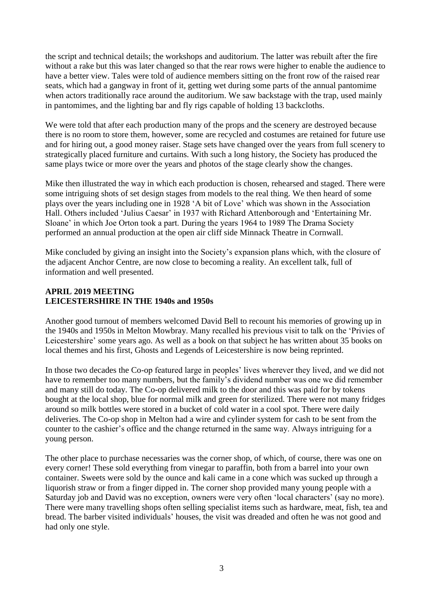the script and technical details; the workshops and auditorium. The latter was rebuilt after the fire without a rake but this was later changed so that the rear rows were higher to enable the audience to have a better view. Tales were told of audience members sitting on the front row of the raised rear seats, which had a gangway in front of it, getting wet during some parts of the annual pantomime when actors traditionally race around the auditorium. We saw backstage with the trap, used mainly in pantomimes, and the lighting bar and fly rigs capable of holding 13 backcloths.

We were told that after each production many of the props and the scenery are destroyed because there is no room to store them, however, some are recycled and costumes are retained for future use and for hiring out, a good money raiser. Stage sets have changed over the years from full scenery to strategically placed furniture and curtains. With such a long history, the Society has produced the same plays twice or more over the years and photos of the stage clearly show the changes.

Mike then illustrated the way in which each production is chosen, rehearsed and staged. There were some intriguing shots of set design stages from models to the real thing. We then heard of some plays over the years including one in 1928 'A bit of Love' which was shown in the Association Hall. Others included 'Julius Caesar' in 1937 with Richard Attenborough and 'Entertaining Mr. Sloane' in which Joe Orton took a part. During the years 1964 to 1989 The Drama Society performed an annual production at the open air cliff side Minnack Theatre in Cornwall.

Mike concluded by giving an insight into the Society's expansion plans which, with the closure of the adjacent Anchor Centre, are now close to becoming a reality. An excellent talk, full of information and well presented.

#### **APRIL 2019 MEETING LEICESTERSHIRE IN THE 1940s and 1950s**

Another good turnout of members welcomed David Bell to recount his memories of growing up in the 1940s and 1950s in Melton Mowbray. Many recalled his previous visit to talk on the 'Privies of Leicestershire' some years ago. As well as a book on that subject he has written about 35 books on local themes and his first, Ghosts and Legends of Leicestershire is now being reprinted.

In those two decades the Co-op featured large in peoples' lives wherever they lived, and we did not have to remember too many numbers, but the family's dividend number was one we did remember and many still do today. The Co-op delivered milk to the door and this was paid for by tokens bought at the local shop, blue for normal milk and green for sterilized. There were not many fridges around so milk bottles were stored in a bucket of cold water in a cool spot. There were daily deliveries. The Co-op shop in Melton had a wire and cylinder system for cash to be sent from the counter to the cashier's office and the change returned in the same way. Always intriguing for a young person.

The other place to purchase necessaries was the corner shop, of which, of course, there was one on every corner! These sold everything from vinegar to paraffin, both from a barrel into your own container. Sweets were sold by the ounce and kali came in a cone which was sucked up through a liquorish straw or from a finger dipped in. The corner shop provided many young people with a Saturday job and David was no exception, owners were very often 'local characters' (say no more). There were many travelling shops often selling specialist items such as hardware, meat, fish, tea and bread. The barber visited individuals' houses, the visit was dreaded and often he was not good and had only one style.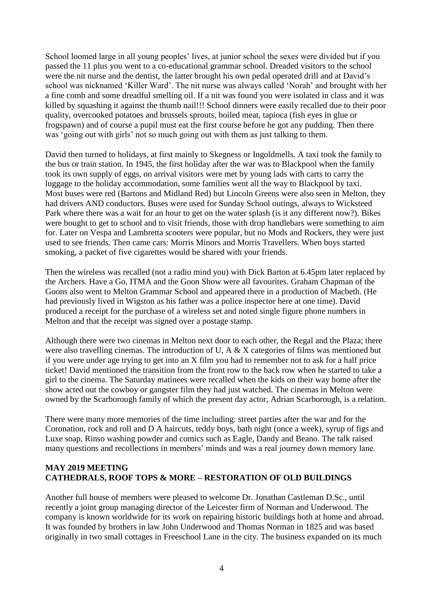School loomed large in all young peoples' lives, at junior school the sexes were divided but if you passed the 11 plus you went to a co-educational grammar school. Dreaded visitors to the school were the nit nurse and the dentist, the latter brought his own pedal operated drill and at David's school was nicknamed 'Killer Ward'. The nit nurse was always called 'Norah' and brought with her a fine comb and some dreadful smelling oil. If a nit was found you were isolated in class and it was killed by squashing it against the thumb nail!!! School dinners were easily recalled due to their poor quality, overcooked potatoes and brussels sprouts, boiled meat, tapioca (fish eyes in glue or frogspawn) and of course a pupil must eat the first course before he got any pudding. Then there was 'going out with girls' not so much going out with them as just talking to them.

David then turned to holidays, at first mainly to Skegness or Ingoldmells. A taxi took the family to the bus or train station. In 1945, the first holiday after the war was to Blackpool when the family took its own supply of eggs, on arrival visitors were met by young lads with carts to carry the luggage to the holiday accommodation, some families went all the way to Blackpool by taxi. Most buses were red (Bartons and Midland Red) but Lincoln Greens were also seen in Melton, they had drivers AND conductors. Buses were used for Sunday School outings, always to Wicksteed Park where there was a wait for an hour to get on the water splash (is it any different now?). Bikes were bought to get to school and to visit friends, those with drop handlebars were something to aim for. Later on Vespa and Lambretta scooters were popular, but no Mods and Rockers, they were just used to see friends. Then came cars: Morris Minors and Morris Travellers. When boys started smoking, a packet of five cigarettes would be shared with your friends.

Then the wireless was recalled (not a radio mind you) with Dick Barton at 6.45pm later replaced by the Archers. Have a Go, ITMA and the Goon Show were all favourites. Graham Chapman of the Goons also went to Melton Grammar School and appeared there in a production of Macbeth. (He had previously lived in Wigston as his father was a police inspector here at one time). David produced a receipt for the purchase of a wireless set and noted single figure phone numbers in Melton and that the receipt was signed over a postage stamp.

Although there were two cinemas in Melton next door to each other, the Regal and the Plaza; there were also travelling cinemas. The introduction of U, A & X categories of films was mentioned but if you were under age trying to get into an X film you had to remember not to ask for a half price ticket! David mentioned the transition from the front row to the back row when he started to take a girl to the cinema. The Saturday matinees were recalled when the kids on their way home after the show acted out the cowboy or gangster film they had just watched. The cinemas in Melton were owned by the Scarborough family of which the present day actor, Adrian Scarborough, is a relation.

There were many more memories of the time including: street parties after the war and for the Coronation, rock and roll and D A haircuts, teddy boys, bath night (once a week), syrup of figs and Luxe soap, Rinso washing powder and comics such as Eagle, Dandy and Beano. The talk raised many questions and recollections in members' minds and was a real journey down memory lane.

### **MAY 2019 MEETING CATHEDRALS, ROOF TOPS & MORE – RESTORATION OF OLD BUILDINGS**

Another full house of members were pleased to welcome Dr. Jonathan Castleman D.Sc., until recently a joint group managing director of the Leicester firm of Norman and Underwood. The company is known worldwide for its work on repairing historic buildings both at home and abroad. It was founded by brothers in law John Underwood and Thomas Norman in 1825 and was based originally in two small cottages in Freeschool Lane in the city. The business expanded on its much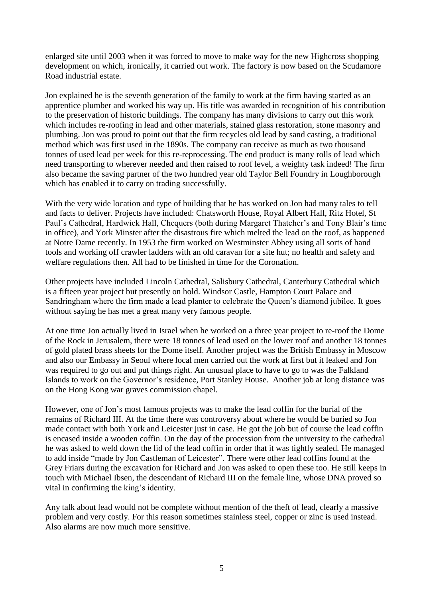enlarged site until 2003 when it was forced to move to make way for the new Highcross shopping development on which, ironically, it carried out work. The factory is now based on the Scudamore Road industrial estate.

Jon explained he is the seventh generation of the family to work at the firm having started as an apprentice plumber and worked his way up. His title was awarded in recognition of his contribution to the preservation of historic buildings. The company has many divisions to carry out this work which includes re-roofing in lead and other materials, stained glass restoration, stone masonry and plumbing. Jon was proud to point out that the firm recycles old lead by sand casting, a traditional method which was first used in the 1890s. The company can receive as much as two thousand tonnes of used lead per week for this re-reprocessing. The end product is many rolls of lead which need transporting to wherever needed and then raised to roof level, a weighty task indeed! The firm also became the saving partner of the two hundred year old Taylor Bell Foundry in Loughborough which has enabled it to carry on trading successfully.

With the very wide location and type of building that he has worked on Jon had many tales to tell and facts to deliver. Projects have included: Chatsworth House, Royal Albert Hall, Ritz Hotel, St Paul's Cathedral, Hardwick Hall, Chequers (both during Margaret Thatcher's and Tony Blair's time in office), and York Minster after the disastrous fire which melted the lead on the roof, as happened at Notre Dame recently. In 1953 the firm worked on Westminster Abbey using all sorts of hand tools and working off crawler ladders with an old caravan for a site hut; no health and safety and welfare regulations then. All had to be finished in time for the Coronation.

Other projects have included Lincoln Cathedral, Salisbury Cathedral, Canterbury Cathedral which is a fifteen year project but presently on hold. Windsor Castle, Hampton Court Palace and Sandringham where the firm made a lead planter to celebrate the Queen's diamond jubilee. It goes without saying he has met a great many very famous people.

At one time Jon actually lived in Israel when he worked on a three year project to re-roof the Dome of the Rock in Jerusalem, there were 18 tonnes of lead used on the lower roof and another 18 tonnes of gold plated brass sheets for the Dome itself. Another project was the British Embassy in Moscow and also our Embassy in Seoul where local men carried out the work at first but it leaked and Jon was required to go out and put things right. An unusual place to have to go to was the Falkland Islands to work on the Governor's residence, Port Stanley House. Another job at long distance was on the Hong Kong war graves commission chapel.

However, one of Jon's most famous projects was to make the lead coffin for the burial of the remains of Richard III. At the time there was controversy about where he would be buried so Jon made contact with both York and Leicester just in case. He got the job but of course the lead coffin is encased inside a wooden coffin. On the day of the procession from the university to the cathedral he was asked to weld down the lid of the lead coffin in order that it was tightly sealed. He managed to add inside "made by Jon Castleman of Leicester". There were other lead coffins found at the Grey Friars during the excavation for Richard and Jon was asked to open these too. He still keeps in touch with Michael Ibsen, the descendant of Richard III on the female line, whose DNA proved so vital in confirming the king's identity.

Any talk about lead would not be complete without mention of the theft of lead, clearly a massive problem and very costly. For this reason sometimes stainless steel, copper or zinc is used instead. Also alarms are now much more sensitive.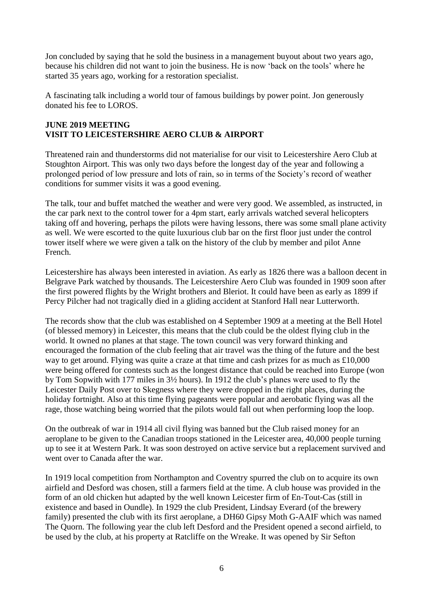Jon concluded by saying that he sold the business in a management buyout about two years ago, because his children did not want to join the business. He is now 'back on the tools' where he started 35 years ago, working for a restoration specialist.

A fascinating talk including a world tour of famous buildings by power point. Jon generously donated his fee to LOROS.

### **JUNE 2019 MEETING VISIT TO LEICESTERSHIRE AERO CLUB & AIRPORT**

Threatened rain and thunderstorms did not materialise for our visit to Leicestershire Aero Club at Stoughton Airport. This was only two days before the longest day of the year and following a prolonged period of low pressure and lots of rain, so in terms of the Society's record of weather conditions for summer visits it was a good evening.

The talk, tour and buffet matched the weather and were very good. We assembled, as instructed, in the car park next to the control tower for a 4pm start, early arrivals watched several helicopters taking off and hovering, perhaps the pilots were having lessons, there was some small plane activity as well. We were escorted to the quite luxurious club bar on the first floor just under the control tower itself where we were given a talk on the history of the club by member and pilot Anne French.

Leicestershire has always been interested in aviation. As early as 1826 there was a balloon decent in Belgrave Park watched by thousands. The Leicestershire Aero Club was founded in 1909 soon after the first powered flights by the Wright brothers and Bleriot. It could have been as early as 1899 if Percy Pilcher had not tragically died in a gliding accident at Stanford Hall near Lutterworth.

The records show that the club was established on 4 September 1909 at a meeting at the Bell Hotel (of blessed memory) in Leicester, this means that the club could be the oldest flying club in the world. It owned no planes at that stage. The town council was very forward thinking and encouraged the formation of the club feeling that air travel was the thing of the future and the best way to get around. Flying was quite a craze at that time and cash prizes for as much as £10,000 were being offered for contests such as the longest distance that could be reached into Europe (won by Tom Sopwith with 177 miles in 3½ hours). In 1912 the club's planes were used to fly the Leicester Daily Post over to Skegness where they were dropped in the right places, during the holiday fortnight. Also at this time flying pageants were popular and aerobatic flying was all the rage, those watching being worried that the pilots would fall out when performing loop the loop.

On the outbreak of war in 1914 all civil flying was banned but the Club raised money for an aeroplane to be given to the Canadian troops stationed in the Leicester area, 40,000 people turning up to see it at Western Park. It was soon destroyed on active service but a replacement survived and went over to Canada after the war.

In 1919 local competition from Northampton and Coventry spurred the club on to acquire its own airfield and Desford was chosen, still a farmers field at the time. A club house was provided in the form of an old chicken hut adapted by the well known Leicester firm of En-Tout-Cas (still in existence and based in Oundle). In 1929 the club President, Lindsay Everard (of the brewery family) presented the club with its first aeroplane, a DH60 Gipsy Moth G-AAIF which was named The Quorn. The following year the club left Desford and the President opened a second airfield, to be used by the club, at his property at Ratcliffe on the Wreake. It was opened by Sir Sefton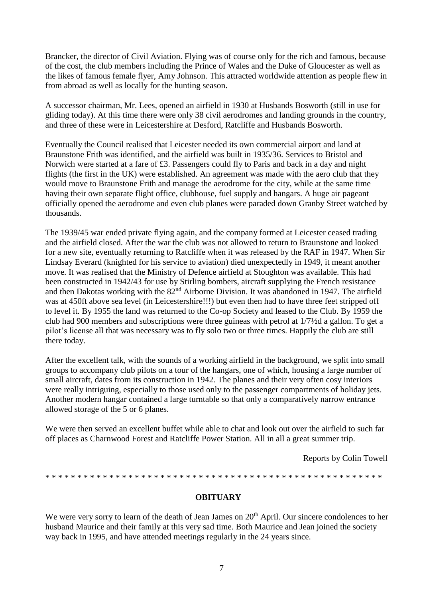Brancker, the director of Civil Aviation. Flying was of course only for the rich and famous, because of the cost, the club members including the Prince of Wales and the Duke of Gloucester as well as the likes of famous female flyer, Amy Johnson. This attracted worldwide attention as people flew in from abroad as well as locally for the hunting season.

A successor chairman, Mr. Lees, opened an airfield in 1930 at Husbands Bosworth (still in use for gliding today). At this time there were only 38 civil aerodromes and landing grounds in the country, and three of these were in Leicestershire at Desford, Ratcliffe and Husbands Bosworth.

Eventually the Council realised that Leicester needed its own commercial airport and land at Braunstone Frith was identified, and the airfield was built in 1935/36. Services to Bristol and Norwich were started at a fare of £3. Passengers could fly to Paris and back in a day and night flights (the first in the UK) were established. An agreement was made with the aero club that they would move to Braunstone Frith and manage the aerodrome for the city, while at the same time having their own separate flight office, clubhouse, fuel supply and hangars. A huge air pageant officially opened the aerodrome and even club planes were paraded down Granby Street watched by thousands.

The 1939/45 war ended private flying again, and the company formed at Leicester ceased trading and the airfield closed. After the war the club was not allowed to return to Braunstone and looked for a new site, eventually returning to Ratcliffe when it was released by the RAF in 1947. When Sir Lindsay Everard (knighted for his service to aviation) died unexpectedly in 1949, it meant another move. It was realised that the Ministry of Defence airfield at Stoughton was available. This had been constructed in 1942/43 for use by Stirling bombers, aircraft supplying the French resistance and then Dakotas working with the 82<sup>nd</sup> Airborne Division. It was abandoned in 1947. The airfield was at 450ft above sea level (in Leicestershire!!!) but even then had to have three feet stripped off to level it. By 1955 the land was returned to the Co-op Society and leased to the Club. By 1959 the club had 900 members and subscriptions were three guineas with petrol at 1/7½d a gallon. To get a pilot's license all that was necessary was to fly solo two or three times. Happily the club are still there today.

After the excellent talk, with the sounds of a working airfield in the background, we split into small groups to accompany club pilots on a tour of the hangars, one of which, housing a large number of small aircraft, dates from its construction in 1942. The planes and their very often cosy interiors were really intriguing, especially to those used only to the passenger compartments of holiday jets. Another modern hangar contained a large turntable so that only a comparatively narrow entrance allowed storage of the 5 or 6 planes.

We were then served an excellent buffet while able to chat and look out over the airfield to such far off places as Charnwood Forest and Ratcliffe Power Station. All in all a great summer trip.

Reports by Colin Towell

\* \* \* \* \* \* \* \* \* \* \* \* \* \* \* \* \* \* \* \* \* \* \* \* \* \* \* \* \* \* \* \* \* \* \* \* \* \* \* \* \* \* \* \* \* \* \* \* \* \* \* \* \*

#### **OBITUARY**

We were very sorry to learn of the death of Jean James on 20<sup>th</sup> April. Our sincere condolences to her husband Maurice and their family at this very sad time. Both Maurice and Jean joined the society way back in 1995, and have attended meetings regularly in the 24 years since.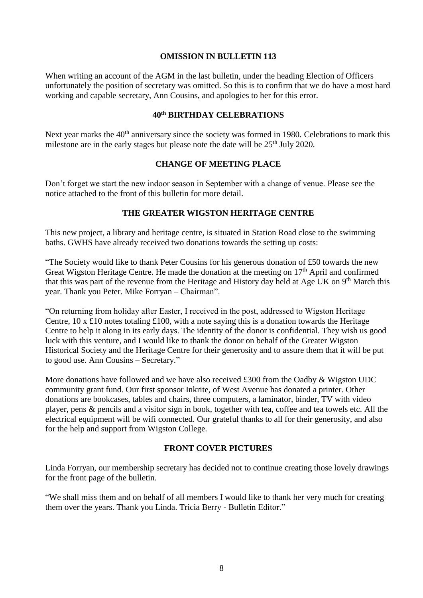#### **OMISSION IN BULLETIN 113**

When writing an account of the AGM in the last bulletin, under the heading Election of Officers unfortunately the position of secretary was omitted. So this is to confirm that we do have a most hard working and capable secretary, Ann Cousins, and apologies to her for this error.

# **40th BIRTHDAY CELEBRATIONS**

Next year marks the 40<sup>th</sup> anniversary since the society was formed in 1980. Celebrations to mark this milestone are in the early stages but please note the date will be  $25<sup>th</sup>$  July 2020.

#### **CHANGE OF MEETING PLACE**

Don't forget we start the new indoor season in September with a change of venue. Please see the notice attached to the front of this bulletin for more detail.

### **THE GREATER WIGSTON HERITAGE CENTRE**

This new project, a library and heritage centre, is situated in Station Road close to the swimming baths. GWHS have already received two donations towards the setting up costs:

"The Society would like to thank Peter Cousins for his generous donation of £50 towards the new Great Wigston Heritage Centre. He made the donation at the meeting on  $17<sup>th</sup>$  April and confirmed that this was part of the revenue from the Heritage and History day held at Age UK on 9<sup>th</sup> March this year. Thank you Peter. Mike Forryan – Chairman".

"On returning from holiday after Easter, I received in the post, addressed to Wigston Heritage Centre,  $10 \times £10$  notes totaling £100, with a note saying this is a donation towards the Heritage Centre to help it along in its early days. The identity of the donor is confidential. They wish us good luck with this venture, and I would like to thank the donor on behalf of the Greater Wigston Historical Society and the Heritage Centre for their generosity and to assure them that it will be put to good use. Ann Cousins – Secretary."

More donations have followed and we have also received £300 from the Oadby & Wigston UDC community grant fund. Our first sponsor Inkrite, of West Avenue has donated a printer. Other donations are bookcases, tables and chairs, three computers, a laminator, binder, TV with video player, pens & pencils and a visitor sign in book, together with tea, coffee and tea towels etc. All the electrical equipment will be wifi connected. Our grateful thanks to all for their generosity, and also for the help and support from Wigston College.

### **FRONT COVER PICTURES**

Linda Forryan, our membership secretary has decided not to continue creating those lovely drawings for the front page of the bulletin.

"We shall miss them and on behalf of all members I would like to thank her very much for creating them over the years. Thank you Linda. Tricia Berry - Bulletin Editor."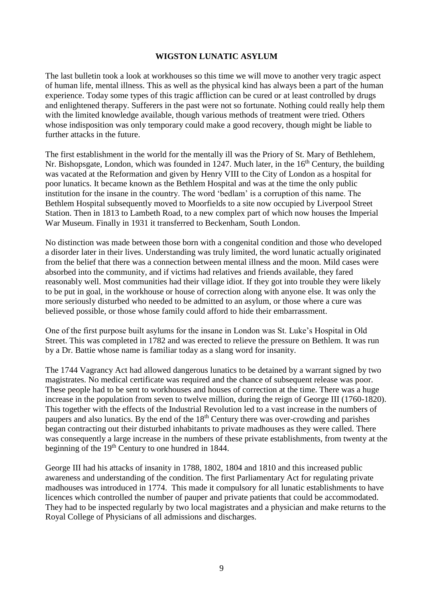#### **WIGSTON LUNATIC ASYLUM**

The last bulletin took a look at workhouses so this time we will move to another very tragic aspect of human life, mental illness. This as well as the physical kind has always been a part of the human experience. Today some types of this tragic affliction can be cured or at least controlled by drugs and enlightened therapy. Sufferers in the past were not so fortunate. Nothing could really help them with the limited knowledge available, though various methods of treatment were tried. Others whose indisposition was only temporary could make a good recovery, though might be liable to further attacks in the future.

The first establishment in the world for the mentally ill was the Priory of St. Mary of Bethlehem, Nr. Bishopsgate, London, which was founded in 1247. Much later, in the  $16<sup>th</sup>$  Century, the building was vacated at the Reformation and given by Henry VIII to the City of London as a hospital for poor lunatics. It became known as the Bethlem Hospital and was at the time the only public institution for the insane in the country. The word 'bedlam' is a corruption of this name. The Bethlem Hospital subsequently moved to Moorfields to a site now occupied by Liverpool Street Station. Then in 1813 to Lambeth Road, to a new complex part of which now houses the Imperial War Museum. Finally in 1931 it transferred to Beckenham, South London.

No distinction was made between those born with a congenital condition and those who developed a disorder later in their lives. Understanding was truly limited, the word lunatic actually originated from the belief that there was a connection between mental illness and the moon. Mild cases were absorbed into the community, and if victims had relatives and friends available, they fared reasonably well. Most communities had their village idiot. If they got into trouble they were likely to be put in goal, in the workhouse or house of correction along with anyone else. It was only the more seriously disturbed who needed to be admitted to an asylum, or those where a cure was believed possible, or those whose family could afford to hide their embarrassment.

One of the first purpose built asylums for the insane in London was St. Luke's Hospital in Old Street. This was completed in 1782 and was erected to relieve the pressure on Bethlem. It was run by a Dr. Battie whose name is familiar today as a slang word for insanity.

The 1744 Vagrancy Act had allowed dangerous lunatics to be detained by a warrant signed by two magistrates. No medical certificate was required and the chance of subsequent release was poor. These people had to be sent to workhouses and houses of correction at the time. There was a huge increase in the population from seven to twelve million, during the reign of George III (1760-1820). This together with the effects of the Industrial Revolution led to a vast increase in the numbers of paupers and also lunatics. By the end of the 18<sup>th</sup> Century there was over-crowding and parishes began contracting out their disturbed inhabitants to private madhouses as they were called. There was consequently a large increase in the numbers of these private establishments, from twenty at the beginning of the 19<sup>th</sup> Century to one hundred in 1844.

George III had his attacks of insanity in 1788, 1802, 1804 and 1810 and this increased public awareness and understanding of the condition. The first Parliamentary Act for regulating private madhouses was introduced in 1774. This made it compulsory for all lunatic establishments to have licences which controlled the number of pauper and private patients that could be accommodated. They had to be inspected regularly by two local magistrates and a physician and make returns to the Royal College of Physicians of all admissions and discharges.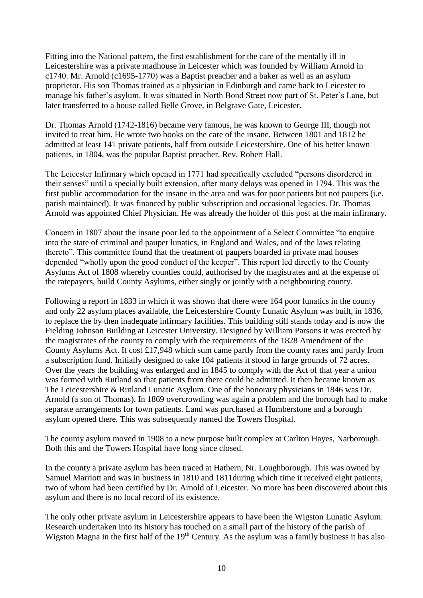Fitting into the National pattern, the first establishment for the care of the mentally ill in Leicestershire was a private madhouse in Leicester which was founded by William Arnold in c1740. Mr. Arnold (c1695-1770) was a Baptist preacher and a baker as well as an asylum proprietor. His son Thomas trained as a physician in Edinburgh and came back to Leicester to manage his father's asylum. It was situated in North Bond Street now part of St. Peter's Lane, but later transferred to a house called Belle Grove, in Belgrave Gate, Leicester.

Dr. Thomas Arnold (1742-1816) became very famous, he was known to George III, though not invited to treat him. He wrote two books on the care of the insane. Between 1801 and 1812 he admitted at least 141 private patients, half from outside Leicestershire. One of his better known patients, in 1804, was the popular Baptist preacher, Rev. Robert Hall.

The Leicester Infirmary which opened in 1771 had specifically excluded "persons disordered in their senses" until a specially built extension, after many delays was opened in 1794. This was the first public accommodation for the insane in the area and was for poor patients but not paupers (i.e. parish maintained). It was financed by public subscription and occasional legacies. Dr. Thomas Arnold was appointed Chief Physician. He was already the holder of this post at the main infirmary.

Concern in 1807 about the insane poor led to the appointment of a Select Committee "to enquire into the state of criminal and pauper lunatics, in England and Wales, and of the laws relating thereto". This committee found that the treatment of paupers boarded in private mad houses depended "wholly upon the good conduct of the keeper". This report led directly to the County Asylums Act of 1808 whereby counties could, authorised by the magistrates and at the expense of the ratepayers, build County Asylums, either singly or jointly with a neighbouring county.

Following a report in 1833 in which it was shown that there were 164 poor lunatics in the county and only 22 asylum places available, the Leicestershire County Lunatic Asylum was built, in 1836, to replace the by then inadequate infirmary facilities. This building still stands today and is now the Fielding Johnson Building at Leicester University. Designed by William Parsons it was erected by the magistrates of the county to comply with the requirements of the 1828 Amendment of the County Asylums Act. It cost £17,948 which sum came partly from the county rates and partly from a subscription fund. Initially designed to take 104 patients it stood in large grounds of 72 acres. Over the years the building was enlarged and in 1845 to comply with the Act of that year a union was formed with Rutland so that patients from there could be admitted. It then became known as The Leicestershire & Rutland Lunatic Asylum. One of the honorary physicians in 1846 was Dr. Arnold (a son of Thomas). In 1869 overcrowding was again a problem and the borough had to make separate arrangements for town patients. Land was purchased at Humberstone and a borough asylum opened there. This was subsequently named the Towers Hospital.

The county asylum moved in 1908 to a new purpose built complex at Carlton Hayes, Narborough. Both this and the Towers Hospital have long since closed.

In the county a private asylum has been traced at Hathern, Nr. Loughborough. This was owned by Samuel Marriott and was in business in 1810 and 1811during which time it received eight patients, two of whom had been certified by Dr. Arnold of Leicester. No more has been discovered about this asylum and there is no local record of its existence.

The only other private asylum in Leicestershire appears to have been the Wigston Lunatic Asylum. Research undertaken into its history has touched on a small part of the history of the parish of Wigston Magna in the first half of the 19<sup>th</sup> Century. As the asylum was a family business it has also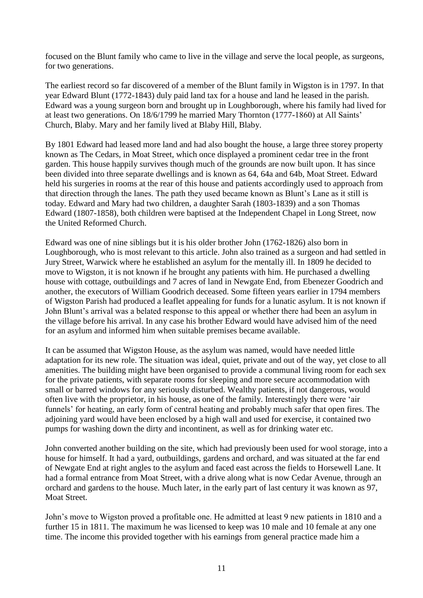focused on the Blunt family who came to live in the village and serve the local people, as surgeons, for two generations.

The earliest record so far discovered of a member of the Blunt family in Wigston is in 1797. In that year Edward Blunt (1772-1843) duly paid land tax for a house and land he leased in the parish. Edward was a young surgeon born and brought up in Loughborough, where his family had lived for at least two generations. On 18/6/1799 he married Mary Thornton (1777-1860) at All Saints' Church, Blaby. Mary and her family lived at Blaby Hill, Blaby.

By 1801 Edward had leased more land and had also bought the house, a large three storey property known as The Cedars, in Moat Street, which once displayed a prominent cedar tree in the front garden. This house happily survives though much of the grounds are now built upon. It has since been divided into three separate dwellings and is known as 64, 64a and 64b, Moat Street. Edward held his surgeries in rooms at the rear of this house and patients accordingly used to approach from that direction through the lanes. The path they used became known as Blunt's Lane as it still is today. Edward and Mary had two children, a daughter Sarah (1803-1839) and a son Thomas Edward (1807-1858), both children were baptised at the Independent Chapel in Long Street, now the United Reformed Church.

Edward was one of nine siblings but it is his older brother John (1762-1826) also born in Loughborough, who is most relevant to this article. John also trained as a surgeon and had settled in Jury Street, Warwick where he established an asylum for the mentally ill. In 1809 he decided to move to Wigston, it is not known if he brought any patients with him. He purchased a dwelling house with cottage, outbuildings and 7 acres of land in Newgate End, from Ebenezer Goodrich and another, the executors of William Goodrich deceased. Some fifteen years earlier in 1794 members of Wigston Parish had produced a leaflet appealing for funds for a lunatic asylum. It is not known if John Blunt's arrival was a belated response to this appeal or whether there had been an asylum in the village before his arrival. In any case his brother Edward would have advised him of the need for an asylum and informed him when suitable premises became available.

It can be assumed that Wigston House, as the asylum was named, would have needed little adaptation for its new role. The situation was ideal, quiet, private and out of the way, yet close to all amenities. The building might have been organised to provide a communal living room for each sex for the private patients, with separate rooms for sleeping and more secure accommodation with small or barred windows for any seriously disturbed. Wealthy patients, if not dangerous, would often live with the proprietor, in his house, as one of the family. Interestingly there were 'air funnels' for heating, an early form of central heating and probably much safer that open fires. The adjoining yard would have been enclosed by a high wall and used for exercise, it contained two pumps for washing down the dirty and incontinent, as well as for drinking water etc.

John converted another building on the site, which had previously been used for wool storage, into a house for himself. It had a yard, outbuildings, gardens and orchard, and was situated at the far end of Newgate End at right angles to the asylum and faced east across the fields to Horsewell Lane. It had a formal entrance from Moat Street, with a drive along what is now Cedar Avenue, through an orchard and gardens to the house. Much later, in the early part of last century it was known as 97, Moat Street.

John's move to Wigston proved a profitable one. He admitted at least 9 new patients in 1810 and a further 15 in 1811. The maximum he was licensed to keep was 10 male and 10 female at any one time. The income this provided together with his earnings from general practice made him a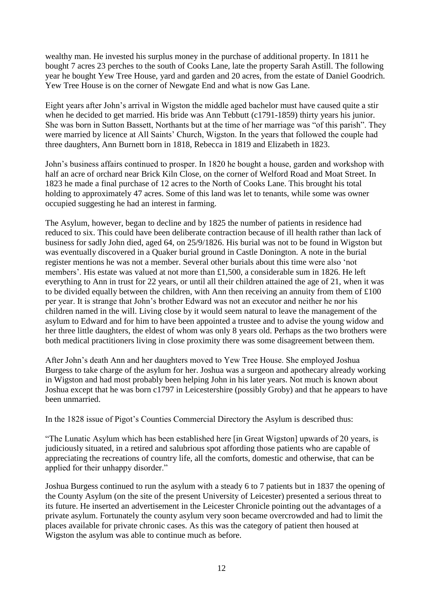wealthy man. He invested his surplus money in the purchase of additional property. In 1811 he bought 7 acres 23 perches to the south of Cooks Lane, late the property Sarah Astill. The following year he bought Yew Tree House, yard and garden and 20 acres, from the estate of Daniel Goodrich. Yew Tree House is on the corner of Newgate End and what is now Gas Lane.

Eight years after John's arrival in Wigston the middle aged bachelor must have caused quite a stir when he decided to get married. His bride was Ann Tebbutt (c1791-1859) thirty years his junior. She was born in Sutton Bassett, Northants but at the time of her marriage was "of this parish". They were married by licence at All Saints' Church, Wigston. In the years that followed the couple had three daughters, Ann Burnett born in 1818, Rebecca in 1819 and Elizabeth in 1823.

John's business affairs continued to prosper. In 1820 he bought a house, garden and workshop with half an acre of orchard near Brick Kiln Close, on the corner of Welford Road and Moat Street. In 1823 he made a final purchase of 12 acres to the North of Cooks Lane. This brought his total holding to approximately 47 acres. Some of this land was let to tenants, while some was owner occupied suggesting he had an interest in farming.

The Asylum, however, began to decline and by 1825 the number of patients in residence had reduced to six. This could have been deliberate contraction because of ill health rather than lack of business for sadly John died, aged 64, on 25/9/1826. His burial was not to be found in Wigston but was eventually discovered in a Quaker burial ground in Castle Donington. A note in the burial register mentions he was not a member. Several other burials about this time were also 'not members'. His estate was valued at not more than £1,500, a considerable sum in 1826. He left everything to Ann in trust for 22 years, or until all their children attained the age of 21, when it was to be divided equally between the children, with Ann then receiving an annuity from them of £100 per year. It is strange that John's brother Edward was not an executor and neither he nor his children named in the will. Living close by it would seem natural to leave the management of the asylum to Edward and for him to have been appointed a trustee and to advise the young widow and her three little daughters, the eldest of whom was only 8 years old. Perhaps as the two brothers were both medical practitioners living in close proximity there was some disagreement between them.

After John's death Ann and her daughters moved to Yew Tree House. She employed Joshua Burgess to take charge of the asylum for her. Joshua was a surgeon and apothecary already working in Wigston and had most probably been helping John in his later years. Not much is known about Joshua except that he was born c1797 in Leicestershire (possibly Groby) and that he appears to have been unmarried.

In the 1828 issue of Pigot's Counties Commercial Directory the Asylum is described thus:

"The Lunatic Asylum which has been established here [in Great Wigston] upwards of 20 years, is judiciously situated, in a retired and salubrious spot affording those patients who are capable of appreciating the recreations of country life, all the comforts, domestic and otherwise, that can be applied for their unhappy disorder."

Joshua Burgess continued to run the asylum with a steady 6 to 7 patients but in 1837 the opening of the County Asylum (on the site of the present University of Leicester) presented a serious threat to its future. He inserted an advertisement in the Leicester Chronicle pointing out the advantages of a private asylum. Fortunately the county asylum very soon became overcrowded and had to limit the places available for private chronic cases. As this was the category of patient then housed at Wigston the asylum was able to continue much as before.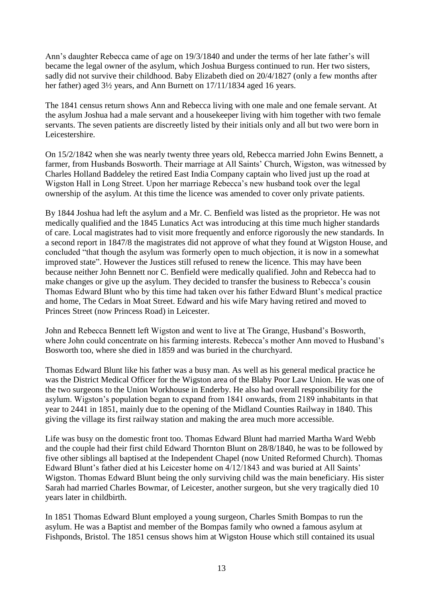Ann's daughter Rebecca came of age on 19/3/1840 and under the terms of her late father's will became the legal owner of the asylum, which Joshua Burgess continued to run. Her two sisters, sadly did not survive their childhood. Baby Elizabeth died on 20/4/1827 (only a few months after her father) aged 3½ years, and Ann Burnett on 17/11/1834 aged 16 years.

The 1841 census return shows Ann and Rebecca living with one male and one female servant. At the asylum Joshua had a male servant and a housekeeper living with him together with two female servants. The seven patients are discreetly listed by their initials only and all but two were born in Leicestershire.

On 15/2/1842 when she was nearly twenty three years old, Rebecca married John Ewins Bennett, a farmer, from Husbands Bosworth. Their marriage at All Saints' Church, Wigston, was witnessed by Charles Holland Baddeley the retired East India Company captain who lived just up the road at Wigston Hall in Long Street. Upon her marriage Rebecca's new husband took over the legal ownership of the asylum. At this time the licence was amended to cover only private patients.

By 1844 Joshua had left the asylum and a Mr. C. Benfield was listed as the proprietor. He was not medically qualified and the 1845 Lunatics Act was introducing at this time much higher standards of care. Local magistrates had to visit more frequently and enforce rigorously the new standards. In a second report in 1847/8 the magistrates did not approve of what they found at Wigston House, and concluded "that though the asylum was formerly open to much objection, it is now in a somewhat improved state". However the Justices still refused to renew the licence. This may have been because neither John Bennett nor C. Benfield were medically qualified. John and Rebecca had to make changes or give up the asylum. They decided to transfer the business to Rebecca's cousin Thomas Edward Blunt who by this time had taken over his father Edward Blunt's medical practice and home, The Cedars in Moat Street. Edward and his wife Mary having retired and moved to Princes Street (now Princess Road) in Leicester.

John and Rebecca Bennett left Wigston and went to live at The Grange, Husband's Bosworth, where John could concentrate on his farming interests. Rebecca's mother Ann moved to Husband's Bosworth too, where she died in 1859 and was buried in the churchyard.

Thomas Edward Blunt like his father was a busy man. As well as his general medical practice he was the District Medical Officer for the Wigston area of the Blaby Poor Law Union. He was one of the two surgeons to the Union Workhouse in Enderby. He also had overall responsibility for the asylum. Wigston's population began to expand from 1841 onwards, from 2189 inhabitants in that year to 2441 in 1851, mainly due to the opening of the Midland Counties Railway in 1840. This giving the village its first railway station and making the area much more accessible.

Life was busy on the domestic front too. Thomas Edward Blunt had married Martha Ward Webb and the couple had their first child Edward Thornton Blunt on 28/8/1840, he was to be followed by five other siblings all baptised at the Independent Chapel (now United Reformed Church). Thomas Edward Blunt's father died at his Leicester home on 4/12/1843 and was buried at All Saints' Wigston. Thomas Edward Blunt being the only surviving child was the main beneficiary. His sister Sarah had married Charles Bowmar, of Leicester, another surgeon, but she very tragically died 10 years later in childbirth.

In 1851 Thomas Edward Blunt employed a young surgeon, Charles Smith Bompas to run the asylum. He was a Baptist and member of the Bompas family who owned a famous asylum at Fishponds, Bristol. The 1851 census shows him at Wigston House which still contained its usual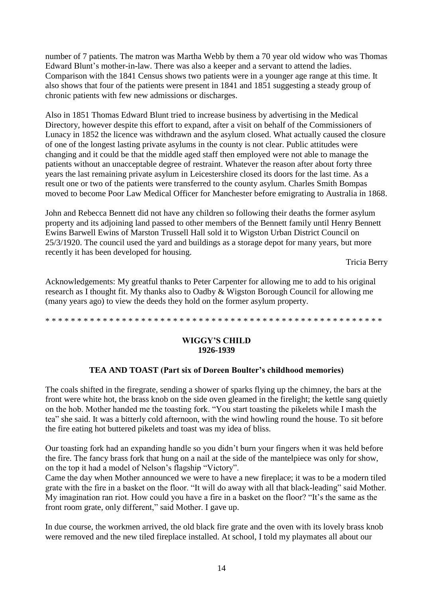number of 7 patients. The matron was Martha Webb by them a 70 year old widow who was Thomas Edward Blunt's mother-in-law. There was also a keeper and a servant to attend the ladies. Comparison with the 1841 Census shows two patients were in a younger age range at this time. It also shows that four of the patients were present in 1841 and 1851 suggesting a steady group of chronic patients with few new admissions or discharges.

Also in 1851 Thomas Edward Blunt tried to increase business by advertising in the Medical Directory, however despite this effort to expand, after a visit on behalf of the Commissioners of Lunacy in 1852 the licence was withdrawn and the asylum closed. What actually caused the closure of one of the longest lasting private asylums in the county is not clear. Public attitudes were changing and it could be that the middle aged staff then employed were not able to manage the patients without an unacceptable degree of restraint. Whatever the reason after about forty three years the last remaining private asylum in Leicestershire closed its doors for the last time. As a result one or two of the patients were transferred to the county asylum. Charles Smith Bompas moved to become Poor Law Medical Officer for Manchester before emigrating to Australia in 1868.

John and Rebecca Bennett did not have any children so following their deaths the former asylum property and its adjoining land passed to other members of the Bennett family until Henry Bennett Ewins Barwell Ewins of Marston Trussell Hall sold it to Wigston Urban District Council on 25/3/1920. The council used the yard and buildings as a storage depot for many years, but more recently it has been developed for housing.

Tricia Berry

Acknowledgements: My greatful thanks to Peter Carpenter for allowing me to add to his original research as I thought fit. My thanks also to Oadby & Wigston Borough Council for allowing me (many years ago) to view the deeds they hold on the former asylum property.

\* \* \* \* \* \* \* \* \* \* \* \* \* \* \* \* \* \* \* \* \* \* \* \* \* \* \* \* \* \* \* \* \* \* \* \* \* \* \* \* \* \* \* \* \* \* \* \* \* \* \* \* \*

#### **WIGGY'S CHILD 1926-1939**

# **TEA AND TOAST (Part six of Doreen Boulter's childhood memories)**

The coals shifted in the firegrate, sending a shower of sparks flying up the chimney, the bars at the front were white hot, the brass knob on the side oven gleamed in the firelight; the kettle sang quietly on the hob. Mother handed me the toasting fork. "You start toasting the pikelets while I mash the tea" she said. It was a bitterly cold afternoon, with the wind howling round the house. To sit before the fire eating hot buttered pikelets and toast was my idea of bliss.

Our toasting fork had an expanding handle so you didn't burn your fingers when it was held before the fire. The fancy brass fork that hung on a nail at the side of the mantelpiece was only for show, on the top it had a model of Nelson's flagship "Victory".

Came the day when Mother announced we were to have a new fireplace; it was to be a modern tiled grate with the fire in a basket on the floor. "It will do away with all that black-leading" said Mother. My imagination ran riot. How could you have a fire in a basket on the floor? "It's the same as the front room grate, only different," said Mother. I gave up.

In due course, the workmen arrived, the old black fire grate and the oven with its lovely brass knob were removed and the new tiled fireplace installed. At school, I told my playmates all about our